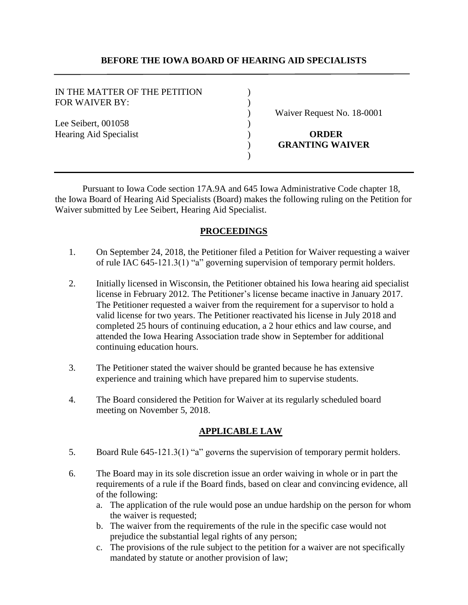### **BEFORE THE IOWA BOARD OF HEARING AID SPECIALISTS**

| IN THE MATTER OF THE PETITION<br><b>FOR WAIVER BY:</b> |                            |
|--------------------------------------------------------|----------------------------|
|                                                        | Waiver Request No. 18-0001 |
| Lee Seibert, 001058                                    |                            |
| <b>Hearing Aid Specialist</b>                          | <b>ORDER</b>               |
|                                                        | <b>GRANTING WAIVER</b>     |
|                                                        |                            |

Pursuant to Iowa Code section 17A.9A and 645 Iowa Administrative Code chapter 18, the Iowa Board of Hearing Aid Specialists (Board) makes the following ruling on the Petition for Waiver submitted by Lee Seibert, Hearing Aid Specialist.

### **PROCEEDINGS**

- 1. On September 24, 2018, the Petitioner filed a Petition for Waiver requesting a waiver of rule IAC 645-121.3(1) "a" governing supervision of temporary permit holders.
- 2. Initially licensed in Wisconsin, the Petitioner obtained his Iowa hearing aid specialist license in February 2012. The Petitioner's license became inactive in January 2017. The Petitioner requested a waiver from the requirement for a supervisor to hold a valid license for two years. The Petitioner reactivated his license in July 2018 and completed 25 hours of continuing education, a 2 hour ethics and law course, and attended the Iowa Hearing Association trade show in September for additional continuing education hours.
- 3. The Petitioner stated the waiver should be granted because he has extensive experience and training which have prepared him to supervise students.
- 4. The Board considered the Petition for Waiver at its regularly scheduled board meeting on November 5, 2018.

# **APPLICABLE LAW**

- 5. Board Rule 645-121.3(1) "a" governs the supervision of temporary permit holders.
- 6. The Board may in its sole discretion issue an order waiving in whole or in part the requirements of a rule if the Board finds, based on clear and convincing evidence, all of the following:
	- a. The application of the rule would pose an undue hardship on the person for whom the waiver is requested;
	- b. The waiver from the requirements of the rule in the specific case would not prejudice the substantial legal rights of any person;
	- c. The provisions of the rule subject to the petition for a waiver are not specifically mandated by statute or another provision of law;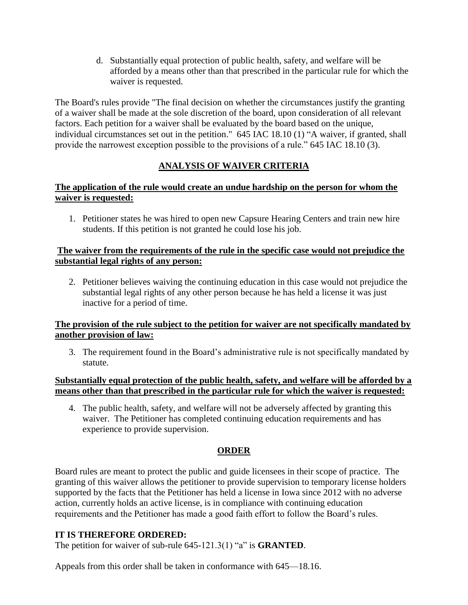d. Substantially equal protection of public health, safety, and welfare will be afforded by a means other than that prescribed in the particular rule for which the waiver is requested.

The Board's rules provide "The final decision on whether the circumstances justify the granting of a waiver shall be made at the sole discretion of the board, upon consideration of all relevant factors. Each petition for a waiver shall be evaluated by the board based on the unique, individual circumstances set out in the petition." 645 IAC 18.10 (1) "A waiver, if granted, shall provide the narrowest exception possible to the provisions of a rule." 645 IAC 18.10 (3).

# **ANALYSIS OF WAIVER CRITERIA**

# **The application of the rule would create an undue hardship on the person for whom the waiver is requested:**

1. Petitioner states he was hired to open new Capsure Hearing Centers and train new hire students. If this petition is not granted he could lose his job.

## **The waiver from the requirements of the rule in the specific case would not prejudice the substantial legal rights of any person:**

2. Petitioner believes waiving the continuing education in this case would not prejudice the substantial legal rights of any other person because he has held a license it was just inactive for a period of time.

# **The provision of the rule subject to the petition for waiver are not specifically mandated by another provision of law:**

3. The requirement found in the Board's administrative rule is not specifically mandated by statute.

# **Substantially equal protection of the public health, safety, and welfare will be afforded by a means other than that prescribed in the particular rule for which the waiver is requested:**

4. The public health, safety, and welfare will not be adversely affected by granting this waiver. The Petitioner has completed continuing education requirements and has experience to provide supervision.

# **ORDER**

Board rules are meant to protect the public and guide licensees in their scope of practice. The granting of this waiver allows the petitioner to provide supervision to temporary license holders supported by the facts that the Petitioner has held a license in Iowa since 2012 with no adverse action, currently holds an active license, is in compliance with continuing education requirements and the Petitioner has made a good faith effort to follow the Board's rules.

# **IT IS THEREFORE ORDERED:**

The petition for waiver of sub-rule 645-121.3(1) "a" is **GRANTED**.

Appeals from this order shall be taken in conformance with 645—18.16.